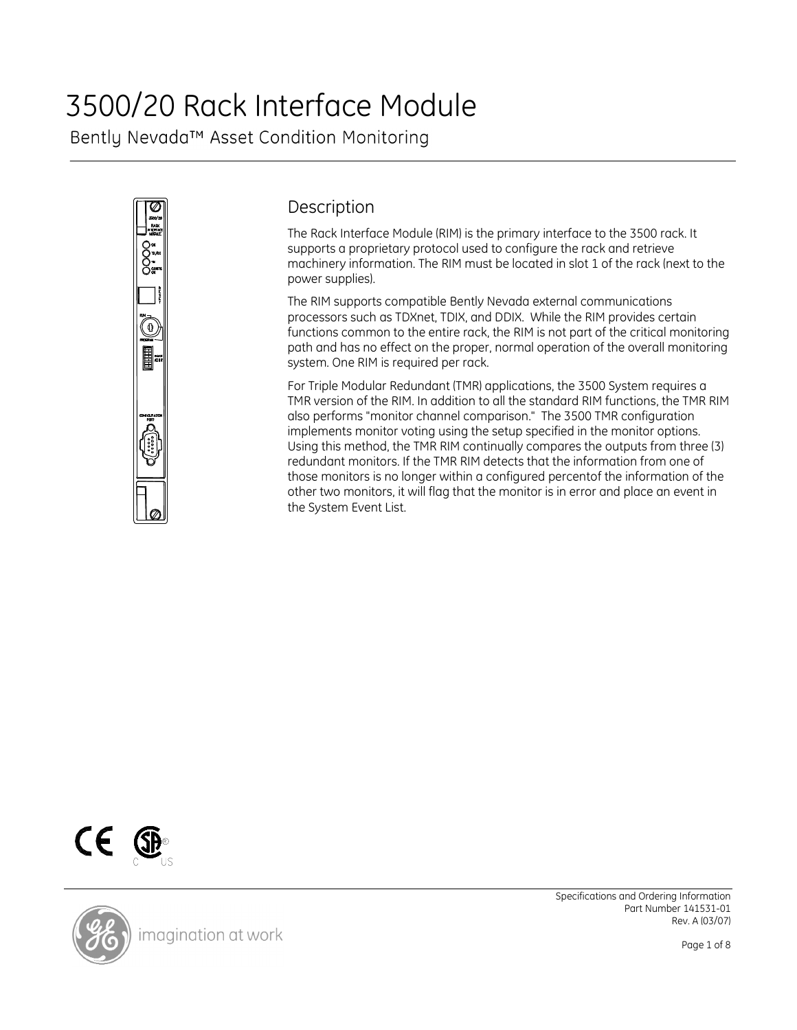# 3500/20 Rack Interface Module

Bently Nevada™ Asset Condition Monitoring



# **Description**

The Rack Interface Module (RIM) is the primary interface to the 3500 rack. It supports a proprietary protocol used to configure the rack and retrieve machinery information. The RIM must be located in slot 1 of the rack (next to the power supplies).

The RIM supports compatible Bently Nevada external communications processors such as TDXnet, TDIX, and DDIX. While the RIM provides certain functions common to the entire rack, the RIM is not part of the critical monitoring path and has no effect on the proper, normal operation of the overall monitoring system. One RIM is required per rack.

For Triple Modular Redundant (TMR) applications, the 3500 System requires a TMR version of the RIM. In addition to all the standard RIM functions, the TMR RIM also performs "monitor channel comparison." The 3500 TMR configuration implements monitor voting using the setup specified in the monitor options. Using this method, the TMR RIM continually compares the outputs from three (3) redundant monitors. If the TMR RIM detects that the information from one of those monitors is no longer within a configured percentof the information of the other two monitors, it will flag that the monitor is in error and place an event in the System Event List.





Specifications and Ordering Information Part Number 141531-01 Rev. A (03/07)

Page 1 of 8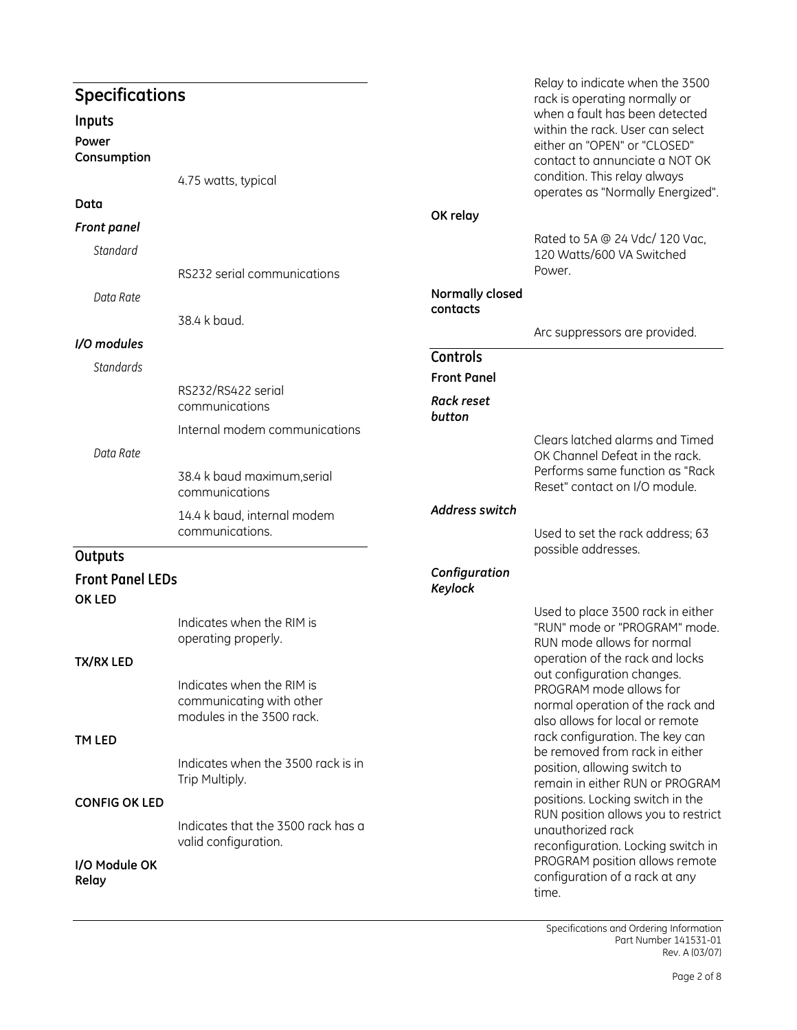| <b>Specifications</b>             |                                                                                    |                                | Relay to indicate when the 3500                                                                                                                                                                                                            |
|-----------------------------------|------------------------------------------------------------------------------------|--------------------------------|--------------------------------------------------------------------------------------------------------------------------------------------------------------------------------------------------------------------------------------------|
| Inputs<br>Power<br>Consumption    | 4.75 watts, typical                                                                |                                | rack is operating normally or<br>when a fault has been detected<br>within the rack. User can select<br>either an "OPEN" or "CLOSED"<br>contact to annunciate a NOT OK<br>condition. This relay always<br>operates as "Normally Energized". |
| Data                              |                                                                                    | OK relay                       |                                                                                                                                                                                                                                            |
| <b>Front panel</b>                |                                                                                    |                                | Rated to 5A @ 24 Vdc/ 120 Vac,                                                                                                                                                                                                             |
| Standard                          | RS232 serial communications                                                        |                                | 120 Watts/600 VA Switched<br>Power.                                                                                                                                                                                                        |
| Data Rate                         |                                                                                    | Normally closed<br>contacts    |                                                                                                                                                                                                                                            |
|                                   | 38.4 k baud.                                                                       |                                | Arc suppressors are provided.                                                                                                                                                                                                              |
| I/O modules<br>Standards          |                                                                                    | Controls<br><b>Front Panel</b> |                                                                                                                                                                                                                                            |
|                                   | RS232/RS422 serial<br>communications                                               | <b>Rack reset</b><br>button    |                                                                                                                                                                                                                                            |
| Data Rate                         | Internal modem communications<br>38.4 k baud maximum, serial<br>communications     |                                | Clears latched alarms and Timed<br>OK Channel Defeat in the rack.<br>Performs same function as "Rack<br>Reset" contact on I/O module.                                                                                                      |
|                                   | 14.4 k baud, internal modem<br>communications.                                     | <b>Address switch</b>          | Used to set the rack address; 63                                                                                                                                                                                                           |
| Outputs                           |                                                                                    |                                | possible addresses.                                                                                                                                                                                                                        |
| <b>Front Panel LEDs</b><br>OK LED |                                                                                    | Configuration<br>Keylock       |                                                                                                                                                                                                                                            |
| <b>TX/RX LED</b>                  | Indicates when the RIM is<br>operating properly.                                   |                                | Used to place 3500 rack in either<br>"RUN" mode or "PROGRAM" mode.<br>RUN mode allows for normal<br>operation of the rack and locks                                                                                                        |
|                                   | Indicates when the RIM is<br>communicating with other<br>modules in the 3500 rack. |                                | out configuration changes.<br>PROGRAM mode allows for<br>normal operation of the rack and<br>also allows for local or remote                                                                                                               |
| TM LED                            | Indicates when the 3500 rack is in<br>Trip Multiply.                               |                                | rack configuration. The key can<br>be removed from rack in either<br>position, allowing switch to<br>remain in either RUN or PROGRAM                                                                                                       |
| <b>CONFIG OK LED</b>              | Indicates that the 3500 rack has a<br>valid configuration.                         |                                | positions. Locking switch in the<br>RUN position allows you to restrict<br>unauthorized rack<br>reconfiguration. Locking switch in<br>PROGRAM position allows remote                                                                       |
| I/O Module OK<br>Relay            |                                                                                    |                                | configuration of a rack at any<br>time.                                                                                                                                                                                                    |

Specifications and Ordering Information Part Number 141531-01 Rev. A (03/07)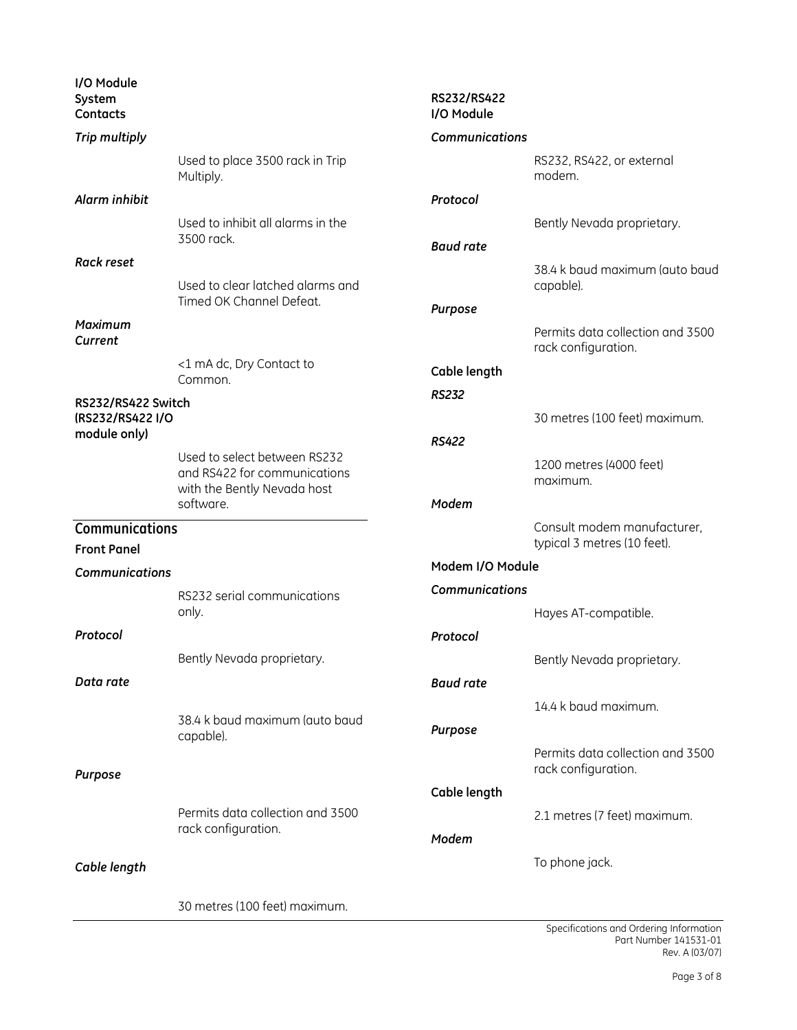| I/O Module<br>System<br>Contacts     |                                                                                             | RS232/RS422<br>I/O Module |                                                            |
|--------------------------------------|---------------------------------------------------------------------------------------------|---------------------------|------------------------------------------------------------|
| Trip multiply                        |                                                                                             | <b>Communications</b>     |                                                            |
|                                      | Used to place 3500 rack in Trip<br>Multiply.                                                |                           | RS232, RS422, or external<br>modem.                        |
| Alarm inhibit                        |                                                                                             | Protocol                  |                                                            |
|                                      | Used to inhibit all alarms in the<br>3500 rack.                                             | <b>Baud rate</b>          | Bently Nevada proprietary.                                 |
| <b>Rack reset</b>                    |                                                                                             |                           | 38.4 k baud maximum (auto baud                             |
|                                      | Used to clear latched alarms and<br>Timed OK Channel Defeat.                                | Purpose                   | capable).                                                  |
| <b>Maximum</b><br>Current            |                                                                                             |                           | Permits data collection and 3500<br>rack configuration.    |
|                                      | <1 mA dc, Dry Contact to<br>Common.                                                         | Cable length              |                                                            |
| RS232/RS422 Switch                   |                                                                                             | <b>RS232</b>              |                                                            |
| (RS232/RS422 I/O                     |                                                                                             |                           | 30 metres (100 feet) maximum.                              |
| module only)                         |                                                                                             | <b>RS422</b>              |                                                            |
|                                      | Used to select between RS232<br>and RS422 for communications<br>with the Bently Nevada host |                           | 1200 metres (4000 feet)<br>maximum.                        |
|                                      | software.                                                                                   | Modem                     |                                                            |
| Communications<br><b>Front Panel</b> |                                                                                             |                           | Consult modem manufacturer,<br>typical 3 metres (10 feet). |
| <b>Communications</b>                |                                                                                             | Modem I/O Module          |                                                            |
|                                      | RS232 serial communications                                                                 | <b>Communications</b>     |                                                            |
|                                      | only.                                                                                       |                           | Hayes AT-compatible.                                       |
| Protocol                             |                                                                                             | Protocol                  |                                                            |
|                                      | Bently Nevada proprietary.                                                                  |                           | Bently Nevada proprietary.                                 |
| Data rate                            |                                                                                             | <b>Baud rate</b>          |                                                            |
|                                      |                                                                                             |                           | 14.4 k baud maximum.                                       |
|                                      | 38.4 k baud maximum (auto baud<br>capable).                                                 | Purpose                   |                                                            |
| Purpose                              |                                                                                             |                           | Permits data collection and 3500<br>rack configuration.    |
|                                      |                                                                                             | Cable length              |                                                            |
|                                      | Permits data collection and 3500                                                            |                           | 2.1 metres (7 feet) maximum.                               |
|                                      | rack configuration.                                                                         | Modem                     |                                                            |
| Cable length                         |                                                                                             |                           | To phone jack.                                             |
|                                      | 30 metres (100 feet) maximum.                                                               |                           |                                                            |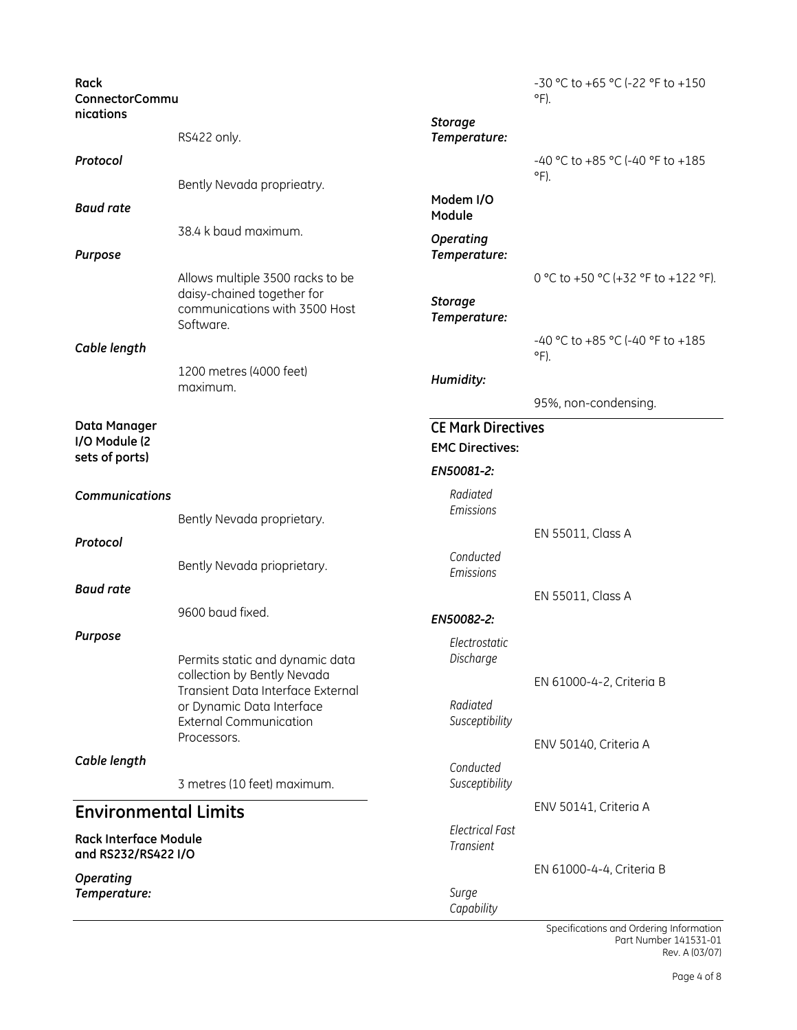| Rack<br>ConnectorCommu                              |                                                                                                                |                                            | -30 °C to +65 °C (-22 °F to +150<br>$\circ$ F).   |
|-----------------------------------------------------|----------------------------------------------------------------------------------------------------------------|--------------------------------------------|---------------------------------------------------|
| nications                                           | RS422 only.                                                                                                    | <b>Storage</b><br>Temperature:             |                                                   |
| Protocol                                            |                                                                                                                |                                            | -40 °C to +85 °C (-40 °F to +185<br>$\circ$ F).   |
|                                                     | Bently Nevada proprieatry.                                                                                     |                                            |                                                   |
| <b>Baud rate</b>                                    |                                                                                                                | Modem I/O<br>Module                        |                                                   |
| Purpose                                             | 38.4 k baud maximum.                                                                                           | <b>Operating</b><br>Temperature:           |                                                   |
|                                                     | Allows multiple 3500 racks to be<br>daisy-chained together for<br>communications with 3500 Host<br>Software.   | <b>Storage</b><br>Temperature:             | 0 °C to +50 °C (+32 °F to +122 °F).               |
| Cable length                                        |                                                                                                                |                                            | -40 °C to +85 °C (-40 °F to +185<br>$\circ$ F).   |
|                                                     | 1200 metres (4000 feet)<br>maximum.                                                                            | Humidity:                                  |                                                   |
|                                                     |                                                                                                                |                                            | 95%, non-condensing.                              |
| Data Manager                                        |                                                                                                                | <b>CE Mark Directives</b>                  |                                                   |
| I/O Module (2<br>sets of ports)                     |                                                                                                                | <b>EMC Directives:</b>                     |                                                   |
|                                                     |                                                                                                                | EN50081-2:                                 |                                                   |
| <b>Communications</b>                               | Bently Nevada proprietary.                                                                                     | Radiated<br>Emissions                      |                                                   |
| Protocol                                            |                                                                                                                |                                            | EN 55011, Class A                                 |
|                                                     | Bently Nevada prioprietary.                                                                                    | Conducted<br>Emissions                     |                                                   |
| <b>Baud rate</b>                                    |                                                                                                                |                                            | EN 55011, Class A                                 |
|                                                     | 9600 baud fixed.                                                                                               | EN50082-2:                                 |                                                   |
| Purpose                                             | Permits static and dynamic data<br>collection by Bently Nevada                                                 | Electrostatic<br>Discharge                 |                                                   |
|                                                     | Transient Data Interface External<br>or Dynamic Data Interface<br><b>External Communication</b><br>Processors. | Radiated<br>Susceptibility                 | EN 61000-4-2, Criteria B<br>ENV 50140, Criteria A |
| Cable length                                        |                                                                                                                | Conducted                                  |                                                   |
|                                                     | 3 metres (10 feet) maximum.                                                                                    | Susceptibility                             |                                                   |
| <b>Environmental Limits</b>                         |                                                                                                                |                                            | ENV 50141, Criteria A                             |
| <b>Rack Interface Module</b><br>and RS232/RS422 I/O |                                                                                                                | <b>Electrical Fast</b><br><b>Transient</b> |                                                   |
| <b>Operating</b>                                    |                                                                                                                |                                            | EN 61000-4-4, Criteria B                          |
| Temperature:                                        |                                                                                                                | Surge<br>Capability                        |                                                   |

Specifications and Ordering Information Part Number 141531-01 Rev. A (03/07)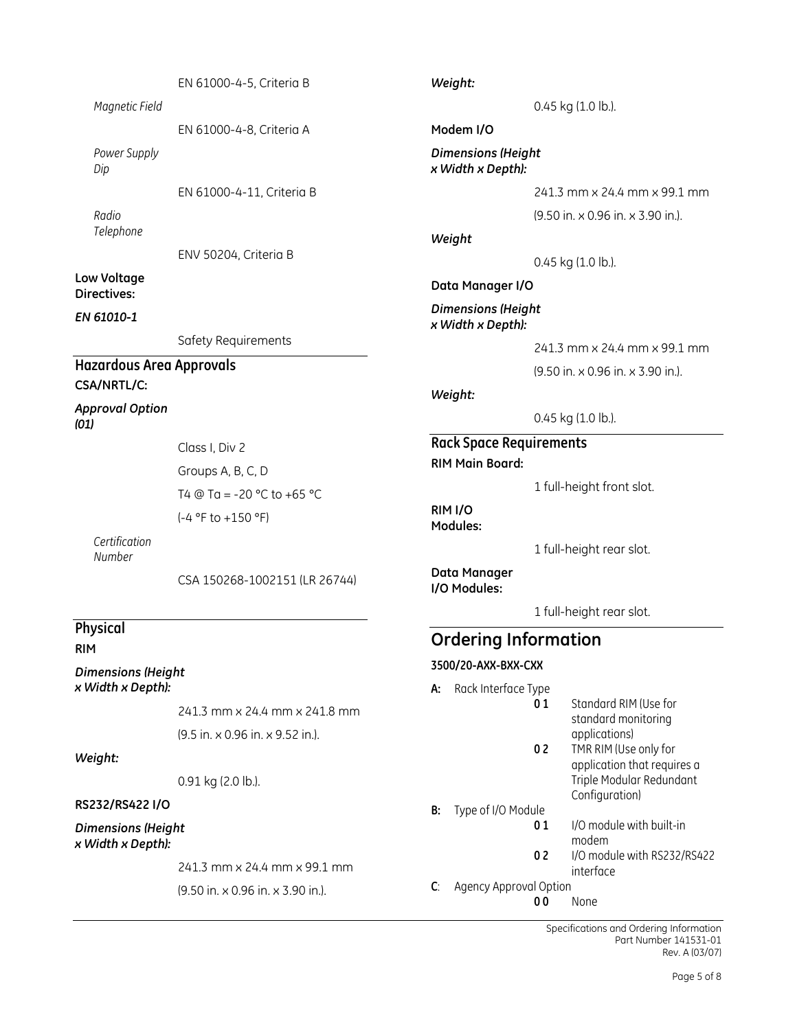| Magnetic Field                  | EN 61000-4-5, Criteria B         | Weight:                                        |    | 0.45 kg (1.0 lb.).                           |
|---------------------------------|----------------------------------|------------------------------------------------|----|----------------------------------------------|
|                                 | EN 61000-4-8, Criteria A         | Modem I/O                                      |    |                                              |
| Power Supply<br>Dip             |                                  | <b>Dimensions (Height</b><br>x Width x Depth): |    |                                              |
|                                 | EN 61000-4-11, Criteria B        |                                                |    | 241.3 mm x 24.4 mm x 99.1 mm                 |
| Radio                           |                                  |                                                |    | (9.50 in. x 0.96 in. x 3.90 in.).            |
| Telephone                       | ENV 50204, Criteria B            | Weight                                         |    | 0.45 kg (1.0 lb.).                           |
| Low Voltage<br>Directives:      |                                  | Data Manager I/O                               |    |                                              |
| EN 61010-1                      |                                  | <b>Dimensions (Height</b><br>x Width x Depth): |    |                                              |
|                                 | Safety Requirements              |                                                |    | 241.3 mm x 24.4 mm x 99.1 mm                 |
| <b>Hazardous Area Approvals</b> |                                  |                                                |    | (9.50 in. x 0.96 in. x 3.90 in.).            |
| CSA/NRTL/C:                     |                                  | Weight:                                        |    |                                              |
| <b>Approval Option</b><br>(01)  |                                  |                                                |    | 0.45 kg (1.0 lb.).                           |
|                                 | Class I, Div 2                   | <b>Rack Space Requirements</b>                 |    |                                              |
|                                 | Groups A, B, C, D                | <b>RIM Main Board:</b>                         |    |                                              |
|                                 | T4 @ Ta = -20 °C to +65 °C       |                                                |    | 1 full-height front slot.                    |
|                                 | (-4 °F to +150 °F)               | RIM <sub>I/O</sub><br>Modules:                 |    |                                              |
| Certification<br>Number         |                                  |                                                |    | 1 full-height rear slot.                     |
|                                 | CSA 150268-1002151 (LR 26744)    | Data Manager<br>I/O Modules:                   |    |                                              |
|                                 |                                  |                                                |    | 1 full-height rear slot.                     |
| <b>Physical</b><br><b>RIM</b>   |                                  | <b>Ordering Information</b>                    |    |                                              |
| <b>Dimensions (Height</b>       |                                  | 3500/20-AXX-BXX-CXX                            |    |                                              |
| x Width x Depth):               |                                  | Rack Interface Type<br>А:                      |    |                                              |
|                                 | 241.3 mm x 24.4 mm x 241.8 mm    |                                                | 01 | Standard RIM (Use for<br>standard monitoring |
|                                 | (9.5 in. x 0.96 in. x 9.52 in.). |                                                | 02 | applications)<br>TMR RIM (Use only for       |
| Weight:                         |                                  |                                                |    | application that requires a                  |

0.91 kg (2.0 lb.).

#### RS232/RS422 I/O

Dimensions (Height x Width x Depth):

241.3 mm x 24.4 mm x 99.1 mm

(9.50 in. x 0.96 in. x 3.90 in.).

Specifications and Ordering Information Part Number 141531-01 Rev. A (03/07)

Triple Modular Redundant

I/O module with built-in

02 I/O module with RS232/RS422

Configuration)

modem

interface

None

**B:** Type of I/O Module<br>**0 1** 

C: Agency Approval Option<br>00 1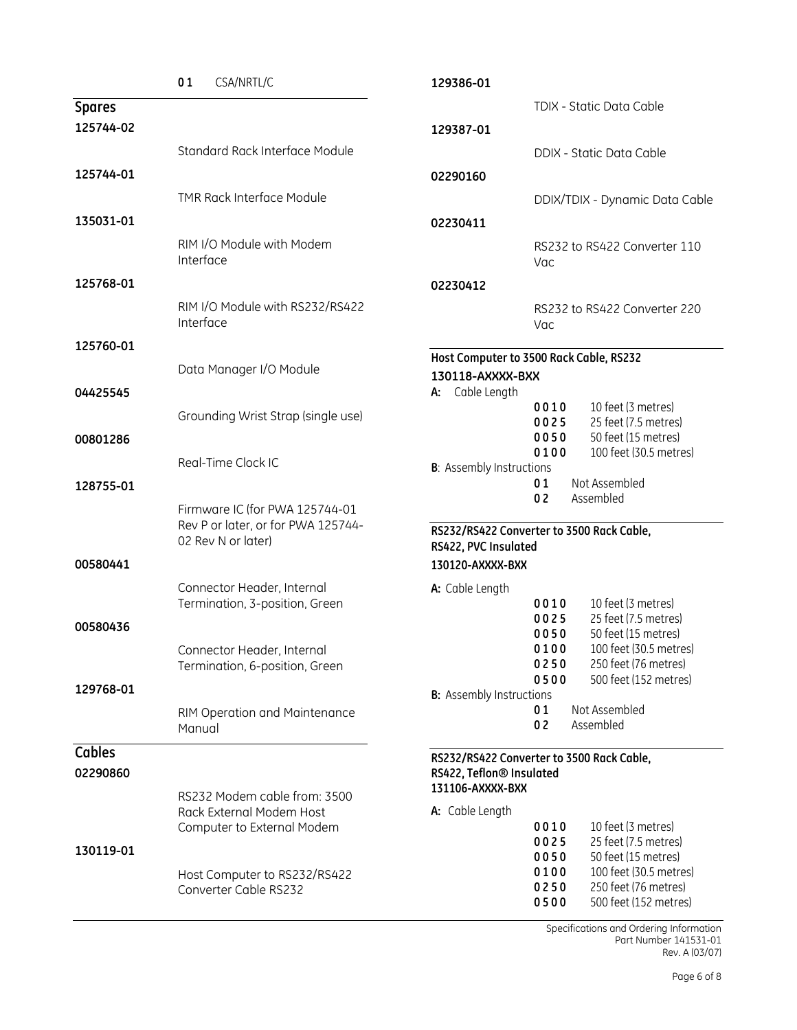|               | 01<br>CSA/NRTL/C                                             | 129386-01                                                      |
|---------------|--------------------------------------------------------------|----------------------------------------------------------------|
| <b>Spares</b> |                                                              | TDIX - Static Data Cable                                       |
| 125744-02     |                                                              | 129387-01                                                      |
|               | Standard Rack Interface Module                               | DDIX - Static Data Cable                                       |
| 125744-01     |                                                              | 02290160                                                       |
|               | <b>TMR Rack Interface Module</b>                             | DDIX/TDIX - Dynamic Data Cable                                 |
| 135031-01     |                                                              |                                                                |
|               | RIM I/O Module with Modem                                    | 02230411                                                       |
|               | Interface                                                    | RS232 to RS422 Converter 110<br>Vac                            |
| 125768-01     |                                                              | 02230412                                                       |
|               | RIM I/O Module with RS232/RS422                              |                                                                |
|               | Interface                                                    | RS232 to RS422 Converter 220<br>Vac                            |
| 125760-01     |                                                              |                                                                |
|               | Data Manager I/O Module                                      | Host Computer to 3500 Rack Cable, RS232                        |
| 04425545      |                                                              | 130118-AXXXX-BXX<br>A: Cable Length                            |
|               |                                                              | 0010<br>10 feet (3 metres)                                     |
|               | Grounding Wrist Strap (single use)                           | 0025<br>25 feet (7.5 metres)<br>0050                           |
| 00801286      |                                                              | 50 feet (15 metres)<br>0100<br>100 feet (30.5 metres)          |
|               | Real-Time Clock IC                                           | <b>B</b> : Assembly Instructions                               |
| 128755-01     |                                                              | Not Assembled<br>01<br>02<br>Assembled                         |
|               | Firmware IC (for PWA 125744-01                               |                                                                |
|               | Rev P or later, or for PWA 125744-<br>02 Rev N or later)     | RS232/RS422 Converter to 3500 Rack Cable,                      |
|               |                                                              | RS422, PVC Insulated                                           |
| 00580441      |                                                              | 130120-AXXXX-BXX                                               |
|               | Connector Header, Internal<br>Termination, 3-position, Green | A: Cable Length<br>10 feet (3 metres)<br>0010                  |
| 00580436      |                                                              | 0025<br>25 feet (7.5 metres)                                   |
|               |                                                              | 0050<br>50 feet (15 metres)                                    |
|               | Connector Header, Internal<br>Termination, 6-position, Green | 0100<br>100 feet (30.5 metres)<br>250 feet (76 metres)<br>0250 |
|               |                                                              | 0500<br>500 feet (152 metres)                                  |
| 129768-01     |                                                              | <b>B:</b> Assembly Instructions                                |
|               | RIM Operation and Maintenance<br>Manual                      | Not Assembled<br>01<br>02<br>Assembled                         |
| <b>Cables</b> |                                                              | RS232/RS422 Converter to 3500 Rack Cable,                      |
| 02290860      |                                                              | RS422, Teflon® Insulated                                       |
|               | RS232 Modem cable from: 3500                                 | 131106-AXXXX-BXX                                               |
|               | Rack External Modem Host                                     | A: Cable Length                                                |
|               | Computer to External Modem                                   | 0010<br>10 feet (3 metres)<br>0025<br>25 feet (7.5 metres)     |
| 130119-01     |                                                              | 0050<br>50 feet (15 metres)                                    |
|               | Host Computer to RS232/RS422                                 | 0100<br>100 feet (30.5 metres)                                 |
|               | Converter Cable RS232                                        | 0250<br>250 feet (76 metres)<br>0500<br>500 feet (152 metres)  |
|               |                                                              |                                                                |

Specifications and Ordering Information Part Number 141531-01 Rev. A (03/07)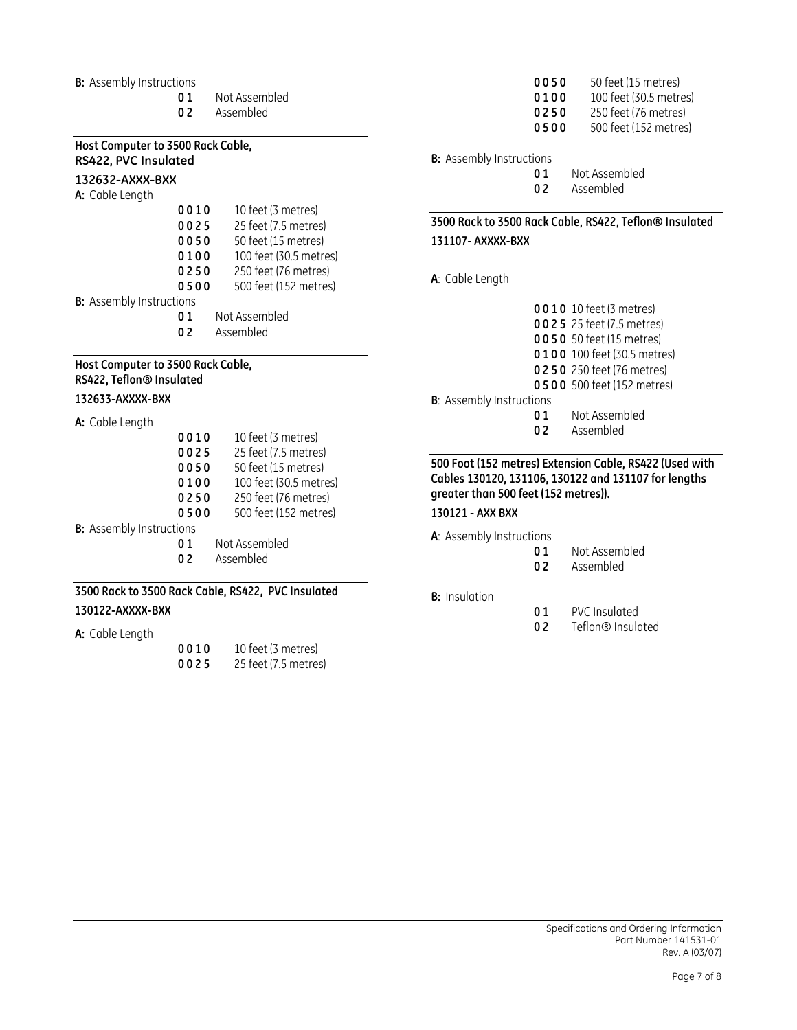#### **B:** Assembly Instructions

- 01 Not Assembled
	- 02 Assembled

# Host Computer to 3500 Rack Cable, RS422, PVC Insulated

# 132632-AXXX-BXX

A: Cable Length

| 0010                            | 10 feet (3 metres)     |
|---------------------------------|------------------------|
| 0025                            | 25 feet (7.5 metres)   |
| 0050                            | 50 feet (15 metres)    |
| 0100                            | 100 feet (30.5 metres) |
| 0250                            | 250 feet (76 metres)   |
| 0500                            | 500 feet (152 metres)  |
| <b>B:</b> Assembly Instructions |                        |

- 01 Not Assembled<br>02 Assembled
	- Assembled

#### Host Computer to 3500 Rack Cable, RS422, Teflon® Insulated

#### 132633-AXXXX-BXX

A: Cable Length

| 0010                            | 10 feet (3 metres)     |
|---------------------------------|------------------------|
| 0025                            | 25 feet (7.5 metres)   |
| 0050                            | 50 feet (15 metres)    |
| 0100                            | 100 feet (30.5 metres) |
| 0250                            | 250 feet (76 metres)   |
| 0500                            | 500 feet (152 metres)  |
| <b>B:</b> Assembly Instructions |                        |
|                                 | Not Assembled          |

- 
- 02 Assembled

#### 3500 Rack to 3500 Rack Cable, RS422, PVC Insulated 130122-AXXXX-BXX

#### A: Cable Length

| 0010 | 10 feet (3 metres)   |
|------|----------------------|
| 0025 | 25 feet (7.5 metres) |

- 0 0 5 0 50 feet (15 metres) **0 1 0 0** 1 0 0 feet (30.5 metres) **0 2 5 0** 250 feet (76 metres)<br>**0 5 0 0** 500 feet (152 metres
	- 500 feet (152 metres)

**B:** Assembly Instructions

01 Not Assembled 0 2 Assembled

## 3500 Rack to 3500 Rack Cable, RS422, Teflon® Insulated 131107- AXXXX-BXX

#### A: Cable Length

- 0 0 1 0 10 feet (3 metres) 0 0 2 5 25 feet (7.5 metres) 0 0 5 0 50 feet (15 metres) 0 1 0 0 100 feet (30.5 metres) 0 2 5 0 250 feet (76 metres) 0 5 0 0 500 feet (152 metres) B: Assembly Instructions 01 Not Assembled<br>02 Assembled
	- **Assembled**

#### 500 Foot (152 metres) Extension Cable, RS422 (Used with Cables 130120, 131106, 130122 and 131107 for lengths greater than 500 feet (152 metres)).

## 130121 - AXX BXX

- A: Assembly Instructions
	- 01 Not Assembled
	- 0 2 Assembled
- B: Insulation
- 01 PVC Insulated
- 02 Teflon<sup>®</sup> Insulated